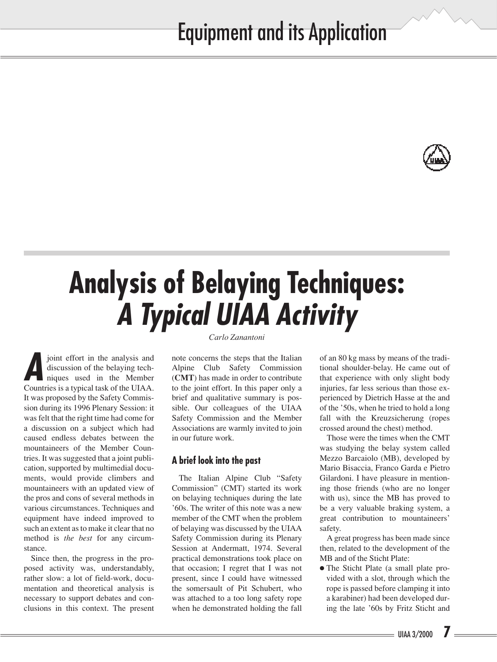

### **Analysis of Belaying Techniques:**  *A Typical UIAA Activity Carlo Zanantoni*

*A*joint effort in the analysis and discussion of the belaying techniques used in the Member Countries is a typical task of the UIAA. It was proposed by the Safety Commission during its 1996 Plenary Session: it was felt that the right time had come for a discussion on a subject which had caused endless debates between the mountaineers of the Member Countries. It was suggested that a joint publication, supported by multimedial documents, would provide climbers and mountaineers with an updated view of the pros and cons of several methods in various circumstances. Techniques and equipment have indeed improved to such an extent as to make it clear that no method is *the best* for any circumstance.

Since then, the progress in the proposed activity was, understandably, rather slow: a lot of field-work, documentation and theoretical analysis is necessary to support debates and conclusions in this context. The present note concerns the steps that the Italian Alpine Club Safety Commission (**CMT**) has made in order to contribute to the joint effort. In this paper only a brief and qualitative summary is possible. Our colleagues of the UIAA Safety Commission and the Member Associations are warmly invited to join in our future work.

### **A brief look into the past**

The Italian Alpine Club "Safety Commission" (CMT) started its work on belaying techniques during the late '60s. The writer of this note was a new member of the CMT when the problem of belaying was discussed by the UIAA Safety Commission during its Plenary Session at Andermatt, 1974. Several practical demonstrations took place on that occasion; I regret that I was not present, since I could have witnessed the somersault of Pit Schubert, who was attached to a too long safety rope when he demonstrated holding the fall

of an 80 kg mass by means of the traditional shoulder-belay. He came out of that experience with only slight body injuries, far less serious than those experienced by Dietrich Hasse at the and of the '50s, when he tried to hold a long fall with the Kreuzsicherung (ropes crossed around the chest) method.

Those were the times when the CMT was studying the belay system called Mezzo Barcaiolo (MB), developed by Mario Bisaccia, Franco Garda e Pietro Gilardoni. I have pleasure in mentioning those friends (who are no longer with us), since the MB has proved to be a very valuable braking system, a great contribution to mountaineers' safety.

A great progress has been made since then, related to the development of the MB and of the Sticht Plate:

● The Sticht Plate (a small plate provided with a slot, through which the rope is passed before clamping it into a karabiner) had been developed during the late '60s by Fritz Sticht and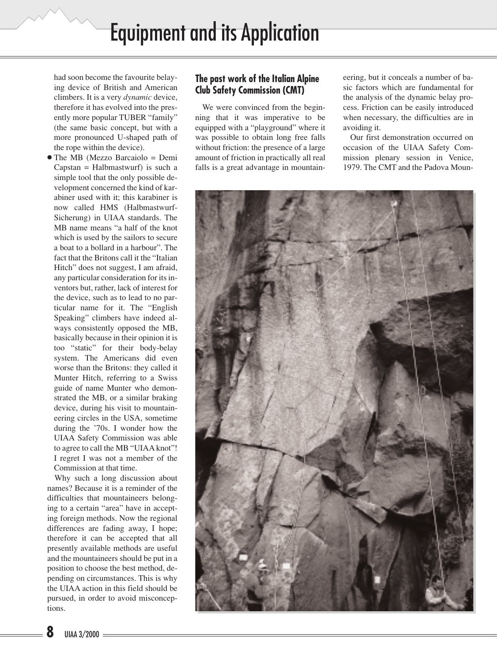had soon become the favourite belaying device of British and American climbers. It is a very *dynamic* device, therefore it has evolved into the presently more popular TUBER "family" (the same basic concept, but with a more pronounced U-shaped path of the rope within the device).

● The MB (Mezzo Barcaiolo = Demi Capstan = Halbmastwurf) is such a simple tool that the only possible development concerned the kind of karabiner used with it; this karabiner is now called HMS (Halbmastwurf-Sicherung) in UIAA standards. The MB name means "a half of the knot which is used by the sailors to secure a boat to a bollard in a harbour". The fact that the Britons call it the "Italian Hitch" does not suggest, I am afraid, any particular consideration for its inventors but, rather, lack of interest for the device, such as to lead to no particular name for it. The "English Speaking" climbers have indeed always consistently opposed the MB, basically because in their opinion it is too "static" for their body-belay system. The Americans did even worse than the Britons: they called it Munter Hitch, referring to a Swiss guide of name Munter who demonstrated the MB, or a similar braking device, during his visit to mountaineering circles in the USA, sometime during the '70s. I wonder how the UIAA Safety Commission was able to agree to call the MB "UIAA knot"! I regret I was not a member of the Commission at that time.

Why such a long discussion about names? Because it is a reminder of the difficulties that mountaineers belonging to a certain "area" have in accepting foreign methods. Now the regional differences are fading away, I hope; therefore it can be accepted that all presently available methods are useful and the mountaineers should be put in a position to choose the best method, depending on circumstances. This is why the UIAA action in this field should be pursued, in order to avoid misconceptions.

#### **The past work of the Italian Alpine Club Safety Commission (CMT)**

We were convinced from the beginning that it was imperative to be equipped with a "playground" where it was possible to obtain long free falls without friction: the presence of a large amount of friction in practically all real falls is a great advantage in mountaineering, but it conceals a number of basic factors which are fundamental for the analysis of the dynamic belay process. Friction can be easily introduced when necessary, the difficulties are in avoiding it.

Our first demonstration occurred on occasion of the UIAA Safety Commission plenary session in Venice, 1979. The CMT and the Padova Moun-

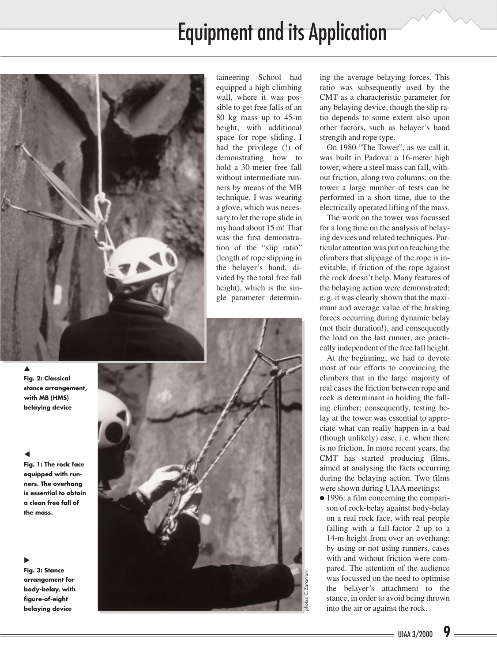## Equipment and its Application



taineering School had equipped a high climbing wall, where it was possible to get free falls of an 80 kg mass up to 45-m height, with additional space for rope sliding. I had the privilege (!) of demonstrating how to hold a 30-meter free fall without intermediate runners by means of the MB technique. I was wearing a glove, which was necessary to let the rope slide in my hand about 15 m! That was the first demonstration of the "slip ratio" (length of rope slipping in the belayer's hand, divided by the total free fall height), which is the single parameter determin-

▲

**Fig. 2: Classical stance arrangement, with MB (HMS) belaying device**

#### $\blacktriangleleft$

**Fig. 1: The rock face equipped with runners. The overhang is essential to obtain a clean free fall of the mass.**

#### $\blacktriangleright$

**Fig. 3: Stance arrangement for body-belay, with figure-of-eight belaying device**



ing the average belaying forces. This ratio was subsequently used by the CMT as a characteristic parameter for any belaying device, though the slip ratio depends to some extent also upon other factors, such as belayer's hand strength and rope type.

On 1980 "The Tower", as we call it, was built in Padova: a 16-meter high tower, where a steel mass can fall, without friction, along two columns; on the tower a large number of tests can be performed in a short time, due to the electrically operated lifting of the mass.

The work on the tower was focussed for a long time on the analysis of belaying devices and related techniques. Particular attention was put on teaching the climbers that slippage of the rope is inevitable, if friction of the rope against the rock doesn't help. Many features of the belaying action were demonstrated; e. g. it was clearly shown that the maximum and average value of the braking forces occurring during dynamic belay (not their duration!), and consequently the load on the last runner, are practically independent of the free fall height.

At the beginning, we had to devote most of our efforts to convincing the climbers that in the large majority of real cases the friction between rope and rock is determinant in holding the falling climber; consequently, testing belay at the tower was essential to appreciate what can really happen in a bad (though unlikely) case, i. e. when there is no friction. In more recent years, the CMT has started producing films, aimed at analysing the facts occurring during the belaying action. Two films were shown during UIAA meetings:

● 1996: a film concerning the comparison of rock-belay against body-belay on a real rock face, with real people falling with a fall-factor 2 up to a 14-m height from over an overhang: by using or not using runners, cases with and without friction were compared. The attention of the audience was focussed on the need to optimise the belayer's attachment to the stance, in order to avoid being thrown into the air or against the rock.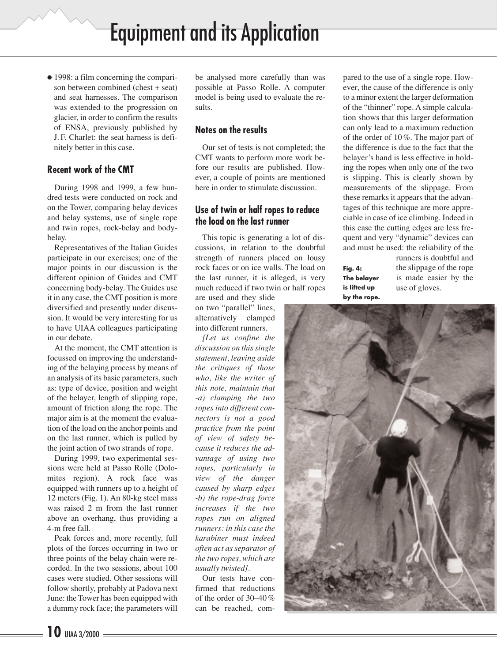● 1998: a film concerning the comparison between combined (chest + seat) and seat harnesses. The comparison was extended to the progression on glacier, in order to confirm the results of ENSA, previously published by J. F. Charlet: the seat harness is definitely better in this case.

#### **Recent work of the CMT**

During 1998 and 1999, a few hundred tests were conducted on rock and on the Tower, comparing belay devices and belay systems, use of single rope and twin ropes, rock-belay and bodybelay.

Representatives of the Italian Guides participate in our exercises; one of the major points in our discussion is the different opinion of Guides and CMT concerning body-belay. The Guides use it in any case, the CMT position is more diversified and presently under discussion. It would be very interesting for us to have UIAA colleagues participating in our debate.

At the moment, the CMT attention is focussed on improving the understanding of the belaying process by means of an analysis of its basic parameters, such as: type of device, position and weight of the belayer, length of slipping rope, amount of friction along the rope. The major aim is at the moment the evaluation of the load on the anchor points and on the last runner, which is pulled by the joint action of two strands of rope.

During 1999, two experimental sessions were held at Passo Rolle (Dolomites region). A rock face was equipped with runners up to a height of 12 meters (Fig. 1). An 80-kg steel mass was raised 2 m from the last runner above an overhang, thus providing a 4-m free fall.

Peak forces and, more recently, full plots of the forces occurring in two or three points of the belay chain were recorded. In the two sessions, about 100 cases were studied. Other sessions will follow shortly, probably at Padova next June: the Tower has been equipped with a dummy rock face; the parameters will

be analysed more carefully than was possible at Passo Rolle. A computer model is being used to evaluate the results.

#### **Notes on the results**

Our set of tests is not completed; the CMT wants to perform more work before our results are published. However, a couple of points are mentioned here in order to stimulate discussion.

#### **Use of twin or half ropes to reduce the load on the last runner**

This topic is generating a lot of discussions, in relation to the doubtful strength of runners placed on lousy rock faces or on ice walls. The load on the last runner, it is alleged, is very much reduced if two twin or half ropes

are used and they slide on two "parallel" lines, alternatively clamped into different runners.

*[Let us confine the discussion on this single statement, leaving aside the critiques of those who, like the writer of this note, maintain that -a) clamping the two ropes into different connectors is not a good practice from the point of view of safety because it reduces the advantage of using two ropes, particularly in view of the danger caused by sharp edges -b) the rope-drag force increases if the two ropes run on aligned runners: in this case the karabiner must indeed often act as separator of the two ropes, which are usually twisted].*

Our tests have confirmed that reductions of the order of 30–40 % can be reached, compared to the use of a single rope. However, the cause of the difference is only to a minor extent the larger deformation of the "thinner" rope. A simple calculation shows that this larger deformation can only lead to a maximum reduction of the order of 10 %. The major part of the difference is due to the fact that the belayer's hand is less effective in holding the ropes when only one of the two is slipping. This is clearly shown by measurements of the slippage. From these remarks it appears that the advantages of this technique are more appreciable in case of ice climbing. Indeed in this case the cutting edges are less frequent and very "dynamic" devices can and must be used: the reliability of the

**Fig. 4: The belayer is lifted up by the rope.** runners is doubtful and the slippage of the rope is made easier by the use of gloves.